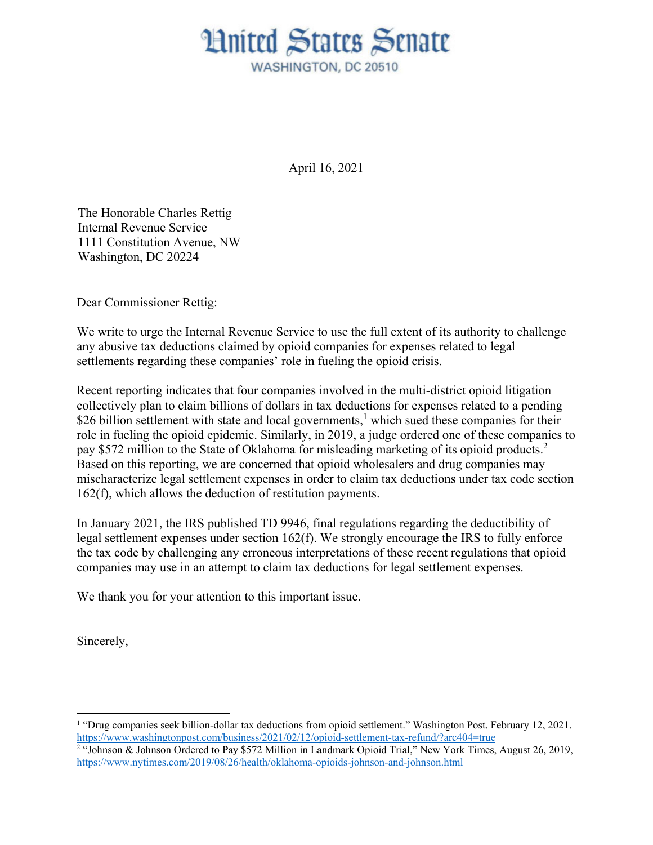

April 16, 2021

The Honorable Charles Rettig Internal Revenue Service 1111 Constitution Avenue, NW Washington, DC 20224

Dear Commissioner Rettig:

We write to urge the Internal Revenue Service to use the full extent of its authority to challenge any abusive tax deductions claimed by opioid companies for expenses related to legal settlements regarding these companies' role in fueling the opioid crisis.

Recent reporting indicates that four companies involved in the multi-district opioid litigation collectively plan to claim billions of dollars in tax deductions for expenses related to a pending \$26 billion settlement with state and local governments,<sup>1</sup> which sued these companies for their role in fueling the opioid epidemic. Similarly, in 2019, a judge ordered one of these companies to pay \$572 million to the State of Oklahoma for misleading marketing of its opioid products.2 Based on this reporting, we are concerned that opioid wholesalers and drug companies may mischaracterize legal settlement expenses in order to claim tax deductions under tax code section 162(f), which allows the deduction of restitution payments.

In January 2021, the IRS published TD 9946, final regulations regarding the deductibility of legal settlement expenses under section 162(f). We strongly encourage the IRS to fully enforce the tax code by challenging any erroneous interpretations of these recent regulations that opioid companies may use in an attempt to claim tax deductions for legal settlement expenses.

We thank you for your attention to this important issue.

Sincerely,

 $\overline{a}$ 

<sup>&</sup>lt;sup>1</sup> "Drug companies seek billion-dollar tax deductions from opioid settlement." Washington Post. February 12, 2021.

https://www.washingtonpost.com/business/2021/02/12/opioid-settlement-tax-refund/?arc404=true<br><sup>2</sup> "Johnson & Johnson Ordered to Pay \$572 Million in Landmark Opioid Trial," New York Times, August 26, 2019, https://www.nytimes.com/2019/08/26/health/oklahoma-opioids-johnson-and-johnson.html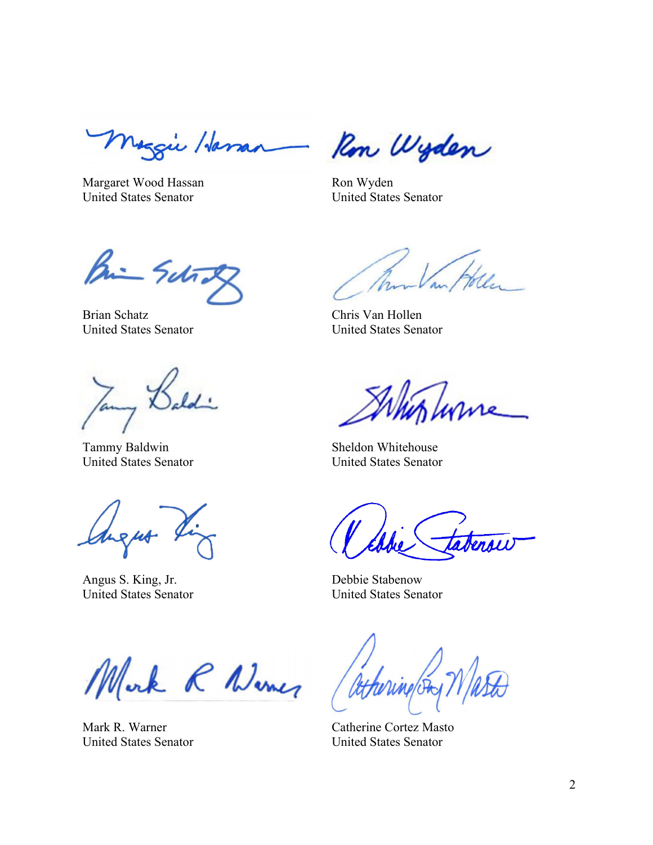nazie Hassan

Margaret Wood Hassan United States Senator

Rom Wyden

Ron Wyden United States Senator

Bin Schot

Brian Schatz United States Senator

aldi

Tammy Baldwin United States Senator

tugut

Angus S. King, Jr. United States Senator

Chris Van Hollen United States Senator

Ine

Sheldon Whitehouse United States Senator

erow

Debbie Stabenow United States Senator

Mark R Nemer

Mark R. Warner United States Senator

athering on

Catherine Cortez Masto United States Senator